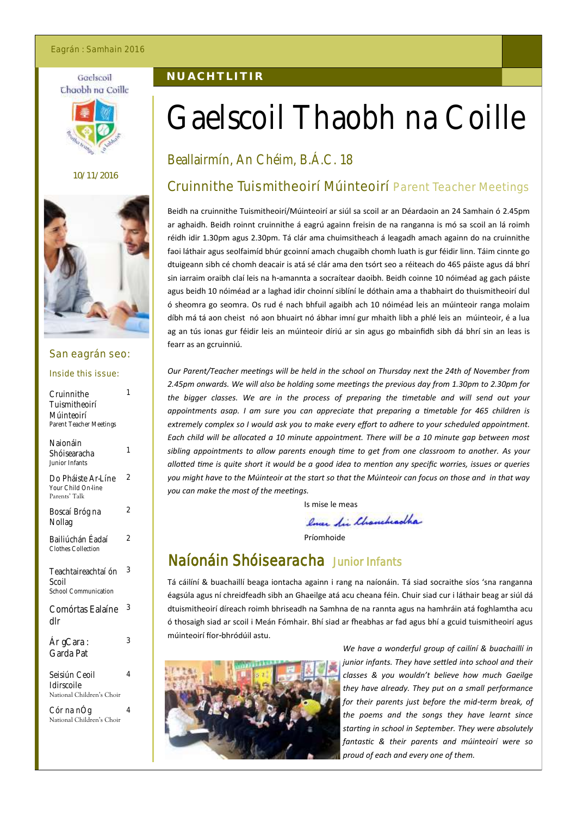#### Eagrán : Samhain 2016

#### Gaelscoil Chaobh na Coille



#### 10/11/2016



#### San eagrán seo:

#### Inside this issue:

| Cruinnithe<br>Tuismitheoirí<br>Múinteoirí<br>Parent Teacher Meetings | 1              |
|----------------------------------------------------------------------|----------------|
| Naionáin<br>Shóisearacha<br>Junior Infants                           | 1              |
| Do Pháiste Ar-Líne<br>Your Child On-line<br>Parents' Talk            | $\overline{2}$ |
| Boscaí Bróg na<br>Nollag                                             | 2              |
| Bailiúchán Éadaí<br>Clothes Collection                               | 2              |
| Teachtaireachtaí ón<br>Scoil<br>School Communication                 | 3              |
| Comórtas Ealaíne<br>dlr                                              | 3              |
| Ár gCara :<br>Garda Pat                                              | 3              |
| Seisiún Ceoil<br>Idirscoile<br>National Children's Choir             | 4              |
| Cór na nÓg<br>National Children's Choir                              | 4              |

# **N U A C H T L I T I R**

# Gaelscoil Thaobh na Coille

# Beallairmín, An Chéim, B.Á.C. 18

# Cruinnithe Tuismitheoirí Múinteoirí Parent Teacher Meetings

Beidh na cruinnithe Tuismitheoirí/Múinteoirí ar siúl sa scoil ar an Déardaoin an 24 Samhain ó 2.45pm ar aghaidh. Beidh roinnt cruinnithe á eagrú againn freisin de na ranganna is mó sa scoil an lá roimh réidh idir 1.30pm agus 2.30pm. Tá clár ama chuimsitheach á leagadh amach againn do na cruinnithe faoi láthair agus seolfaimíd bhúr gcoinní amach chugaibh chomh luath is gur féidir linn. Táim cinnte go dtuigeann sibh cé chomh deacair is atá sé clár ama den tsórt seo a réiteach do 465 páiste agus dá bhrí sin iarraim oraibh claí leis na h-amannta a socraítear daoibh. Beidh coinne 10 nóiméad ag gach páiste agus beidh 10 nóiméad ar a laghad idir choinní siblíní le dóthain ama a thabhairt do thuismitheoirí dul ó sheomra go seomra. Os rud é nach bhfuil agaibh ach 10 nóiméad leis an múinteoir ranga molaim díbh má tá aon cheist nó aon bhuairt nó ábhar imní gur mhaith libh a phlé leis an múinteoir, é a lua ag an tús ionas gur féidir leis an múinteoir díriú ar sin agus go mbainfidh sibh dá bhrí sin an leas is fearr as an gcruinniú.

*Our Parent/Teacher meetings will be held in the school on Thursday next the 24th of November from 2.45pm onwards. We will also be holding some meetings the previous day from 1.30pm to 2.30pm for the bigger classes. We are in the process of preparing the timetable and will send out your appointments asap. I am sure you can appreciate that preparing a timetable for 465 children is extremely complex so I would ask you to make every effort to adhere to your scheduled appointment. Each child will be allocated a 10 minute appointment. There will be a 10 minute gap between most sibling appointments to allow parents enough time to get from one classroom to another. As your allotted time is quite short it would be a good idea to mention any specific worries, issues or queries you might have to the Múinteoir at the start so that the Múinteoir can focus on those and in that way you can make the most of the meetings.*

Is mise le meas

lover die Chancheadha

Príomhoide

# Naíonáin Shóisearacha Junior Infants

Tá cáilíní & buachaillí beaga iontacha againn i rang na naíonáin. Tá siad socraithe síos 'sna ranganna éagsúla agus ní chreidfeadh sibh an Ghaeilge atá acu cheana féin. Chuir siad cur i láthair beag ar siúl dá dtuismitheoirí díreach roimh bhriseadh na Samhna de na rannta agus na hamhráin atá foghlamtha acu ó thosaigh siad ar scoil i Meán Fómhair. Bhí siad ar fheabhas ar fad agus bhí a gcuid tuismitheoirí agus múinteoirí fíor-bhródúil astu.



*We have a wonderful group of cailíní & buachaillí in junior infants. They have settled into school and their classes & you wouldn't believe how much Gaeilge they have already. They put on a small performance for their parents just before the mid-term break, of the poems and the songs they have learnt since starting in school in September. They were absolutely fantastic & their parents and múinteoirí were so proud of each and every one of them.*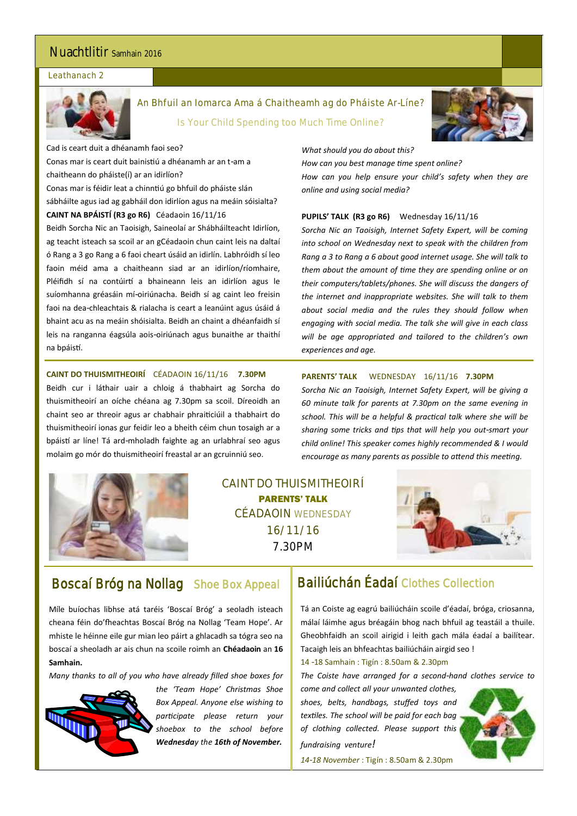# Nuachtlitir Samhain 2016

#### Leathanach 2



An Bhfuil an Iomarca Ama á Chaitheamh ag do Pháiste Ar-Líne? Is Your Child Spending too Much Time Online?



Cad is ceart duit a dhéanamh faoi seo? Conas mar is ceart duit bainistiú a dhéanamh ar an t-am a chaitheann do pháiste(í) ar an idirlíon? Conas mar is féidir leat a chinntiú go bhfuil do pháiste slán sábháilte agus iad ag gabháil don idirlíon agus na meáin sóisialta? **CAINT NA BPÁISTÍ (R3 go R6)** Céadaoin 16/11/16 Beidh Sorcha Nic an Taoisigh, Saineolaí ar Shábháilteacht Idirlíon,

ag teacht isteach sa scoil ar an gCéadaoin chun caint leis na daltaí ó Rang a 3 go Rang a 6 faoi cheart úsáid an idirlín. Labhróidh sí leo faoin méid ama a chaitheann siad ar an idirlíon/ríomhaire, Pléifidh sí na contúirtí a bhaineann leis an idirlíon agus le suíomhanna gréasáin mí-oiriúnacha. Beidh sí ag caint leo freisin faoi na dea-chleachtais & rialacha is ceart a leanúint agus úsáid á bhaint acu as na meáin shóisialta. Beidh an chaint a dhéanfaidh sí leis na ranganna éagsúla aois-oiriúnach agus bunaithe ar thaithí na bpáistí.

#### **CAINT DO THUISMITHEOIRÍ** CÉADAOIN 16/11/16 **7.30PM**

Beidh cur i láthair uair a chloig á thabhairt ag Sorcha do thuismitheoirí an oíche chéana ag 7.30pm sa scoil. Díreoidh an chaint seo ar threoir agus ar chabhair phraiticiúil a thabhairt do thuismitheoirí ionas gur feidir leo a bheith céim chun tosaigh ar a bpáistí ar líne! Tá ard-mholadh faighte ag an urlabhraí seo agus molaim go mór do thuismitheoirí freastal ar an gcruinniú seo.



CAINT DO THUISMITHEOIRÍ PARENTS' TALK CÉADAOIN WEDNESDAY 16/11/16 7.30PM



# Boscaí Bróg na Nollag Shoe Box Appeal

Míle buíochas libhse atá taréis 'Boscaí Bróg' a seoladh isteach cheana féin do'fheachtas Boscaí Bróg na Nollag 'Team Hope'. Ar mhiste le héinne eile gur mian leo páirt a ghlacadh sa tógra seo na boscaí a sheoladh ar ais chun na scoile roimh an **Chéadaoin** an **16 Samhain.**

*Many thanks to all of you who have already filled shoe boxes for* 



*the 'Team Hope' Christmas Shoe Box Appeal. Anyone else wishing to participate please return your shoebox to the school before Wednesday the 16th of November.*

# Bailiúchán Éadaí Clothes Collection

Tá an Coiste ag eagrú bailiúcháin scoile d'éadaí, bróga, criosanna, málaí láimhe agus bréagáin bhog nach bhfuil ag teastáil a thuile. Gheobhfaidh an scoil airigid i leith gach mála éadaí a bailítear. Tacaigh leis an bhfeachtas bailiúcháin airgid seo !

14 -18 Samhain : Tigín : 8.50am & 2.30pm

*The Coiste have arranged for a second-hand clothes service to* 

*come and collect all your unwanted clothes, shoes, belts, handbags, stuffed toys and textiles. The school will be paid for each bag of clothing collected. Please support this fundraising venture!*



*14-18 November* : Tigín : 8.50am & 2.30pm

#### **PARENTS' TALK** WEDNESDAY 16/11/16 **7.30PM**

*Sorcha Nic an Taoisigh, Internet Safety Expert, will be giving a 60 minute talk for parents at 7.30pm on the same evening in school. This will be a helpful & practical talk where she will be sharing some tricks and tips that will help you out-smart your child online! This speaker comes highly recommended & I would encourage as many parents as possible to attend this meeting.*

*What should you do about this?*

*online and using social media?* 

*experiences and age.* 

*How can you best manage time spent online?*

**PUPILS' TALK (R3 go R6)** Wednesday 16/11/16

*How can you help ensure your child's safety when they are* 

*Sorcha Nic an Taoisigh, Internet Safety Expert, will be coming into school on Wednesday next to speak with the children from Rang a 3 to Rang a 6 about good internet usage. She will talk to them about the amount of time they are spending online or on their computers/tablets/phones. She will discuss the dangers of the internet and inappropriate websites. She will talk to them about social media and the rules they should follow when engaging with social media. The talk she will give in each class will be age appropriated and tailored to the children's own*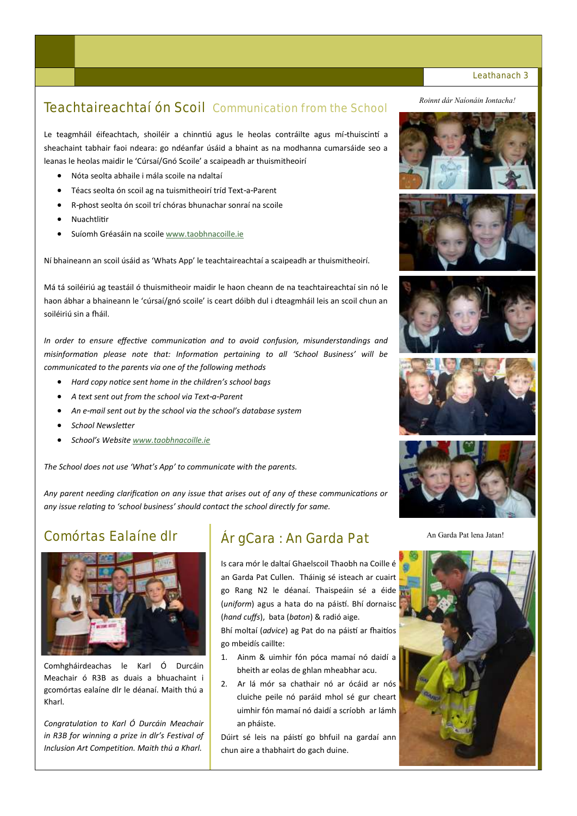# Teachtaireachtaí ón Scoil Communication from the School

Le teagmháil éifeachtach, shoiléir a chinntiú agus le heolas contráilte agus mí-thuiscintí a sheachaint tabhair faoi ndeara: go ndéanfar úsáid a bhaint as na modhanna cumarsáide seo a leanas le heolas maidir le 'Cúrsaí/Gnó Scoile' a scaipeadh ar thuismitheoirí

- Nóta seolta abhaile i mála scoile na ndaltaí
- Téacs seolta ón scoil ag na tuismitheoirí tríd Text-a-Parent
- R-phost seolta ón scoil trí chóras bhunachar sonraí na scoile
- Nuachtlitir
- Suíomh Gréasáin na scoile [www.taobhnacoille.ie](http://www.taobhnacoille.ie)

Ní bhaineann an scoil úsáid as 'Whats App' le teachtaireachtaí a scaipeadh ar thuismitheoirí.

Má tá soiléiriú ag teastáil ó thuismitheoir maidir le haon cheann de na teachtaireachtaí sin nó le haon ábhar a bhaineann le 'cúrsaí/gnó scoile' is ceart dóibh dul i dteagmháil leis an scoil chun an soiléiriú sin a fháil.

*In order to ensure effective communication and to avoid confusion, misunderstandings and misinformation please note that: Information pertaining to all 'School Business' will be communicated to the parents via one of the following methods*

- *Hard copy notice sent home in the children's school bags*
- *A text sent out from the school via Text-a-Parent*
- *An e-mail sent out by the school via the school's database system*
- *School Newsletter*
- *School's Website [www.taobhnacoille.ie](http://www.taobhnacoille.ie)*

*The School does not use 'What's App' to communicate with the parents.*

*Any parent needing clarification on any issue that arises out of any of these communications or any issue relating to 'school business' should contact the school directly for same.*

# Comórtas Ealaíne dlr



Comhgháirdeachas le Karl Ó Durcáin Meachair ó R3B as duais a bhuachaint i gcomórtas ealaíne dlr le déanaí. Maith thú a Kharl.

*Congratulation to Karl Ó Durcáin Meachair in R3B for winning a prize in dlr's Festival of Inclusion Art Competition. Maith thú a Kharl.*

# Ár gCara : An Garda Pat An Garda Pat Lena Jatan!

Is cara mór le daltaí Ghaelscoil Thaobh na Coille é an Garda Pat Cullen. Tháinig sé isteach ar cuairt go Rang N2 le déanaí. Thaispeáin sé a éide (*uniform*) agus a hata do na páistí. Bhí dornaisc (*hand cuffs*), bata (*baton*) & radió aige.

Bhí moltaí (*advice*) ag Pat do na páistí ar fhaitíos go mbeidís caillte:

1. Ainm & uimhir fón póca mamaí nó daidí a bheith ar eolas de ghlan mheabhar acu.

2. Ar lá mór sa chathair nó ar ócáid ar nós cluiche peile nó paráid mhol sé gur cheart uimhir fón mamaí nó daidí a scríobh ar lámh an pháiste.

Dúirt sé leis na páistí go bhfuil na gardaí ann chun aire a thabhairt do gach duine.

#### *Roinnt dár Naíonáin Iontacha!*













#### Leathanach 3